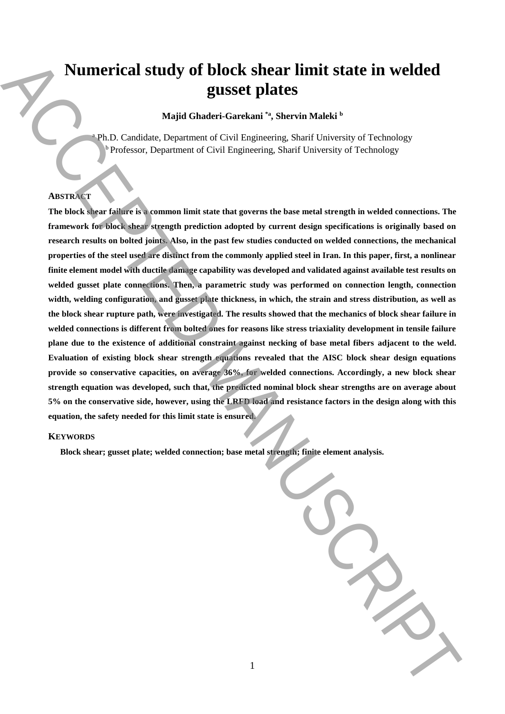# **Numerical study of block shear limit state in welded gusset plates**

**Majid Ghaderi-Garekani \*a, Shervin Maleki <sup>b</sup>**

<sup>a</sup> Ph.D. Candidate, Department of Civil Engineering, Sharif University of Technology Professor, Department of Civil Engineering, Sharif University of Technology

# **ABSTRACT**

**The block shear failure is a common limit state that governs the base metal strength in welded connections. The framework for block shear strength prediction adopted by current design specifications is originally based on research results on bolted joints. Also, in the past few studies conducted on welded connections, the mechanical properties of the steel used are distinct from the commonly applied steel in Iran. In this paper, first, a nonlinear finite element model with ductile damage capability was developed and validated against available test results on welded gusset plate connections. Then, a parametric study was performed on connection length, connection width, welding configuration, and gusset plate thickness, in which, the strain and stress distribution, as well as the block shear rupture path, were investigated. The results showed that the mechanics of block shear failure in welded connections is different from bolted ones for reasons like stress triaxiality development in tensile failure plane due to the existence of additional constraint against necking of base metal fibers adjacent to the weld. Evaluation of existing block shear strength equations revealed that the AISC block shear design equations provide so conservative capacities, on average 36%, for welded connections. Accordingly, a new block shear strength equation was developed, such that, the predicted nominal block shear strengths are on average about 5% on the conservative side, however, using the LRFD load and resistance factors in the design along with this equation, the safety needed for this limit state is ensured. Block shear;** limit state in welded connection; welded connection; a start in the state of the state of the state of the state of the state of the state of the state of the state of the state of the state of the state of

1

#### **KEYWORDS**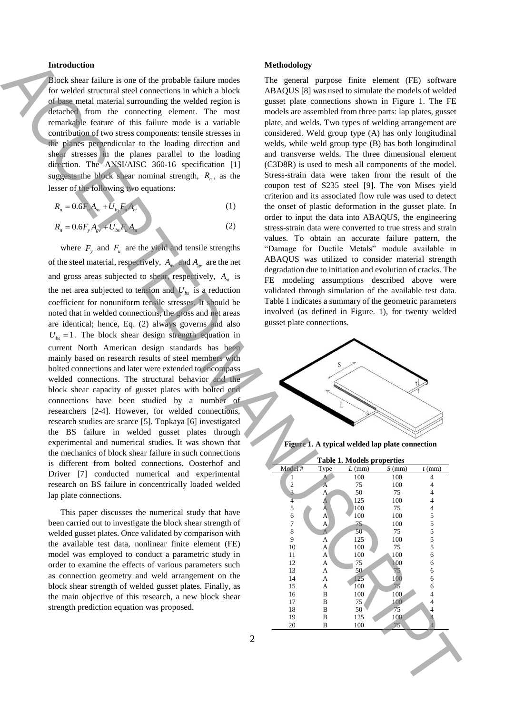## **Introduction**

Block shear failure is one of the probable failure modes for welded structural steel connections in which a block of base metal material surrounding the welded region is detached from the connecting element. The most remarkable feature of this failure mode is a variable contribution of two stress components: tensile stresses in the planes perpendicular to the loading direction and shear stresses in the planes parallel to the loading direction. The ANSI/AISC 360-16 specification [1] suggests the block shear nominal strength,  $R_n$ , as the lesser of the following two equations:

$$
R_n = 0.6F_u A_{nv} + U_{bs} F_u A_{nv}
$$
 (1)

$$
R_n = 0.6F_y A_{gy} + U_{bs} F_u A_w \tag{2}
$$

where  $F_y$  and  $F_u$  are the yield and tensile strengths of the steel material, respectively,  $A_{uv}$  and  $A_{gv}$  are the net and gross areas subjected to shear, respectively,  $A_{nt}$  is the net area subjected to tension and  $U_{bs}$  is a reduction coefficient for nonuniform tensile stresses. It should be noted that in welded connections, the gross and net areas are identical; hence, Eq. (2) always governs and also  $U_{bs} = 1$ . The block shear design strength equation in current North American design standards has been mainly based on research results of steel members with bolted connections and later were extended to encompass welded connections. The structural behavior and the block shear capacity of gusset plates with bolted end connections have been studied by a number of researchers [2-4]. However, for welded connections, research studies are scarce [5]. Topkaya [6] investigated the BS failure in welded gusset plates through experimental and numerical studies. It was shown that the mechanics of block shear failure in such connections is different from bolted connections. Oosterhof and Driver [7] conducted numerical and experimental research on BS failure in concentrically loaded welded lap plate connections. Interaction in the second of the provides these ones and the observed in the second of the second of the second of the second of the second of the second of the second of the second of the second of the second of the seco

This paper discusses the numerical study that have been carried out to investigate the block shear strength of welded gusset plates. Once validated by comparison with the available test data, nonlinear finite element (FE) model was employed to conduct a parametric study in order to examine the effects of various parameters such as connection geometry and weld arrangement on the block shear strength of welded gusset plates. Finally, as the main objective of this research, a new block shear strength prediction equation was proposed.

#### **Methodology**

The general purpose finite element (FE) software ABAQUS [8] was used to simulate the models of welded gusset plate connections shown in Figure 1. The FE models are assembled from three parts: lap plates, gusset plate, and welds. Two types of welding arrangement are considered. Weld group type (A) has only longitudinal welds, while weld group type (B) has both longitudinal and transverse welds. The three dimensional element (C3D8R) is used to mesh all components of the model. Stress-strain data were taken from the result of the coupon test of S235 steel [9]. The von Mises yield criterion and its associated flow rule was used to detect the onset of plastic deformation in the gusset plate. In order to input the data into ABAQUS, the engineering stress-strain data were converted to true stress and strain values. To obtain an accurate failure pattern, the "Damage for Ductile Metals" module available in ABAQUS was utilized to consider material strength degradation due to initiation and evolution of cracks. The FE modeling assumptions described above were validated through simulation of the available test data. Table 1 indicates a summary of the geometric parameters involved (as defined in Figure. 1), for twenty welded gusset plate connections.



**Figure 1. A typical welded lap plate connection**

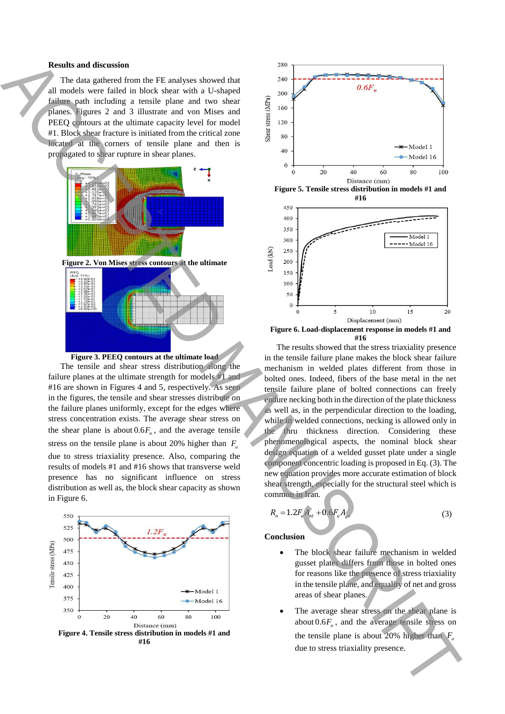#### **Results and discussion**

The data gathered from the FE analyses showed that all models were failed in block shear with a U-shaped failure path including a tensile plane and two shear planes. Figures 2 and 3 illustrate and von Mises and PEEQ contours at the ultimate capacity level for model #1. Block shear fracture is initiated from the critical zone located at the corners of tensile plane and then is propagated to shear rupture in shear planes.





The tensile and shear stress distribution along the failure planes at the ultimate strength for models #1 and #16 are shown in Figures 4 and 5, respectively. As seen in the figures, the tensile and shear stresses distribute on the failure planes uniformly, except for the edges where stress concentration exists. The average shear stress on the shear plane is about  $0.6F_{\mu}$ , and the average tensile stress on the tensile plane is about 20% higher than  $F_{\mu}$ due to stress triaxiality presence. Also, comparing the results of models #1 and #16 shows that transverse weld presence has no significant influence on stress distribution as well as, the block shear capacity as shown in Figure 6.









The results showed that the stress triaxiality presence in the tensile failure plane makes the block shear failure mechanism in welded plates different from those in bolted ones. Indeed, fibers of the base metal in the net tensile failure plane of bolted connections can freely endure necking both in the direction of the plate thickness as well as, in the perpendicular direction to the loading, while in welded connections, necking is allowed only in the thru thickness direction. Considering these phenomenological aspects, the nominal block shear design equation of a welded gusset plate under a single component concentric loading is proposed in Eq. (3). The new equation provides more accurate estimation of block shear strength, especially for the structural steel which is common in Iran.

$$
R_n = 1.2F_u A_{nt} + 0.6F_u A_{gv} \tag{3}
$$

**Conclusion** 

- The block shear failure mechanism in welded gusset plates differs from those in bolted ones for reasons like the presence of stress triaxiality in the tensile plane, and equality of net and gross areas of shear planes.
- The average shear stress on the shear plane is about  $0.6F_u$ , and the average tensile stress on the tensile plane is about 20% higher than  $F_u$